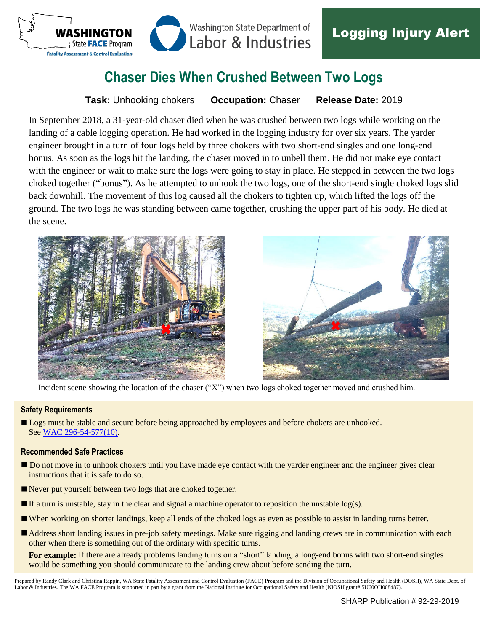

# **Chaser Dies When Crushed Between Two Logs**

**Task:** Unhooking chokers **Occupation:** Chaser **Release Date:** 2019

In September 2018, a 31-year-old chaser died when he was crushed between two logs while working on the landing of a cable logging operation. He had worked in the logging industry for over six years. The yarder engineer brought in a turn of four logs held by three chokers with two short-end singles and one long-end bonus. As soon as the logs hit the landing, the chaser moved in to unbell them. He did not make eye contact with the engineer or wait to make sure the logs were going to stay in place. He stepped in between the two logs choked together ("bonus"). As he attempted to unhook the two logs, one of the short-end single choked logs slid back downhill. The movement of this log caused all the chokers to tighten up, which lifted the logs off the ground. The two logs he was standing between came together, crushing the upper part of his body. He died at the scene.





Incident scene showing the location of the chaser ("X") when two logs choked together moved and crushed him.

#### **Safety Requirements**

Logs must be stable and secure before being approached by employees and before chokers are unhooked. See [WAC 296-54-577\(10\).](https://apps.leg.wa.gov/WAC/default.aspx?cite=296-54-577)

#### **Recommended Safe Practices**

- Do not move in to unhook chokers until you have made eye contact with the yarder engineer and the engineer gives clear instructions that it is safe to do so.
- Never put yourself between two logs that are choked together.
- If a turn is unstable, stay in the clear and signal a machine operator to reposition the unstable  $log(s)$ .
- When working on shorter landings, keep all ends of the choked logs as even as possible to assist in landing turns better.
- Address short landing issues in pre-job safety meetings. Make sure rigging and landing crews are in communication with each other when there is something out of the ordinary with specific turns.

**For example:** If there are already problems landing turns on a "short" landing, a long-end bonus with two short-end singles would be something you should communicate to the landing crew about before sending the turn.

Prepared by Randy Clark and Christina Rappin, WA State Fatality Assessment and Control Evaluation (FACE) Program and the Division of Occupational Safety and Health (DOSH), WA State Dept. of Labor & Industries. The WA FACE Program is supported in part by a grant from the National Institute for Occupational Safety and Health (NIOSH grant# 5U60OH008487).